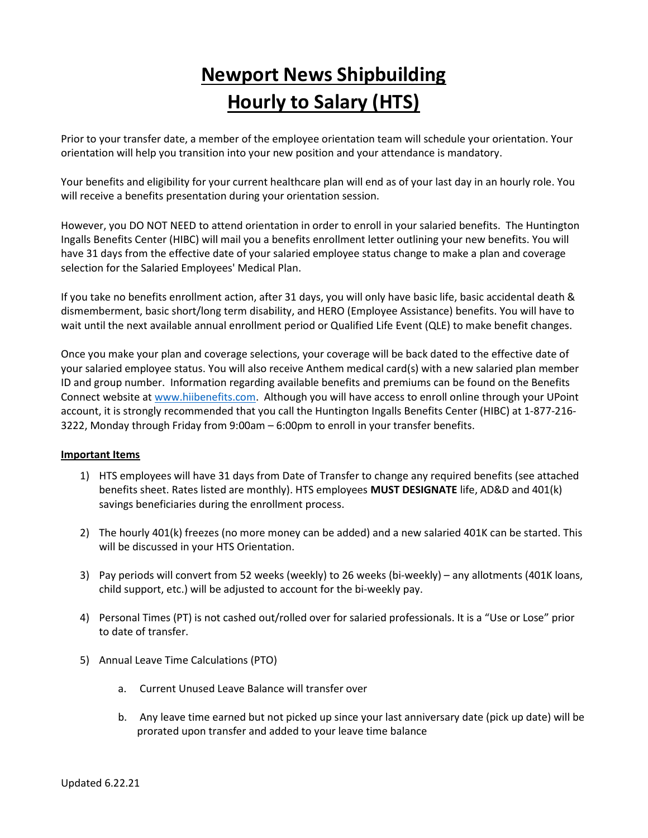## Newport News Shipbuilding Hourly to Salary (HTS)

Prior to your transfer date, a member of the employee orientation team will schedule your orientation. Your orientation will help you transition into your new position and your attendance is mandatory.

Your benefits and eligibility for your current healthcare plan will end as of your last day in an hourly role. You will receive a benefits presentation during your orientation session.

However, you DO NOT NEED to attend orientation in order to enroll in your salaried benefits. The Huntington Ingalls Benefits Center (HIBC) will mail you a benefits enrollment letter outlining your new benefits. You will have 31 days from the effective date of your salaried employee status change to make a plan and coverage selection for the Salaried Employees' Medical Plan.

If you take no benefits enrollment action, after 31 days, you will only have basic life, basic accidental death & dismemberment, basic short/long term disability, and HERO (Employee Assistance) benefits. You will have to wait until the next available annual enrollment period or Qualified Life Event (QLE) to make benefit changes.

Once you make your plan and coverage selections, your coverage will be back dated to the effective date of your salaried employee status. You will also receive Anthem medical card(s) with a new salaried plan member ID and group number. Information regarding available benefits and premiums can be found on the Benefits Connect website at www.hiibenefits.com. Although you will have access to enroll online through your UPoint account, it is strongly recommended that you call the Huntington Ingalls Benefits Center (HIBC) at 1-877-216- 3222, Monday through Friday from 9:00am – 6:00pm to enroll in your transfer benefits.

## Important Items

- 1) HTS employees will have 31 days from Date of Transfer to change any required benefits (see attached benefits sheet. Rates listed are monthly). HTS employees MUST DESIGNATE life, AD&D and 401(k) savings beneficiaries during the enrollment process.
- 2) The hourly 401(k) freezes (no more money can be added) and a new salaried 401K can be started. This will be discussed in your HTS Orientation.
- 3) Pay periods will convert from 52 weeks (weekly) to 26 weeks (bi-weekly) any allotments (401K loans, child support, etc.) will be adjusted to account for the bi-weekly pay.
- 4) Personal Times (PT) is not cashed out/rolled over for salaried professionals. It is a "Use or Lose" prior to date of transfer.
- 5) Annual Leave Time Calculations (PTO)
	- a. Current Unused Leave Balance will transfer over
	- b. Any leave time earned but not picked up since your last anniversary date (pick up date) will be prorated upon transfer and added to your leave time balance